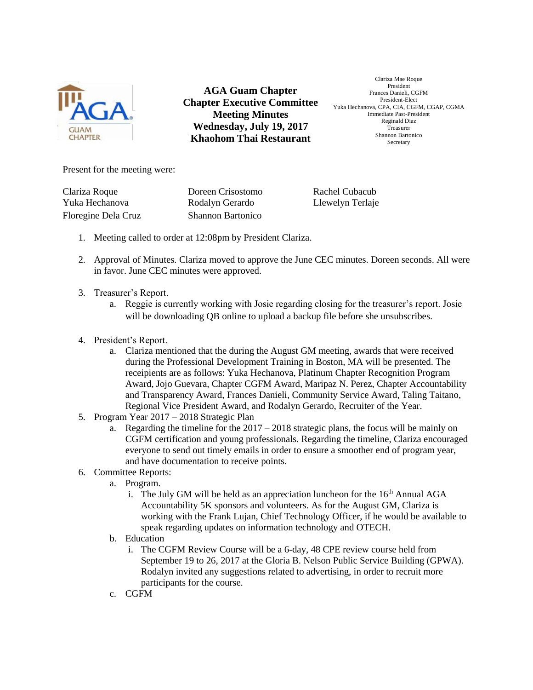

**AGA Guam Chapter Chapter Executive Committee Meeting Minutes Wednesday, July 19, 2017 Khaohom Thai Restaurant**

Clariza Mae Roque President Frances Danieli, CGFM President-Elect Yuka Hechanova, CPA, CIA, CGFM, CGAP, CGMA Immediate Past-President Reginald Diaz Treasurer Shannon Bartonico Secretary

Present for the meeting were:

Floregine Dela Cruz Shannon Bartonico

Clariza Roque Doreen Crisostomo Rachel Cubacub Yuka Hechanova Rodalyn Gerardo Llewelyn Terlaje

- 1. Meeting called to order at 12:08pm by President Clariza.
- 2. Approval of Minutes. Clariza moved to approve the June CEC minutes. Doreen seconds. All were in favor. June CEC minutes were approved.
- 3. Treasurer's Report.
	- a. Reggie is currently working with Josie regarding closing for the treasurer's report. Josie will be downloading QB online to upload a backup file before she unsubscribes.
- 4. President's Report.
	- a. Clariza mentioned that the during the August GM meeting, awards that were received during the Professional Development Training in Boston, MA will be presented. The receipients are as follows: Yuka Hechanova, Platinum Chapter Recognition Program Award, Jojo Guevara, Chapter CGFM Award, Maripaz N. Perez, Chapter Accountability and Transparency Award, Frances Danieli, Community Service Award, Taling Taitano, Regional Vice President Award, and Rodalyn Gerardo, Recruiter of the Year.
- 5. Program Year 2017 2018 Strategic Plan
	- a. Regarding the timeline for the  $2017 2018$  strategic plans, the focus will be mainly on CGFM certification and young professionals. Regarding the timeline, Clariza encouraged everyone to send out timely emails in order to ensure a smoother end of program year, and have documentation to receive points.
- 6. Committee Reports:
	- a. Program.
		- i. The July GM will be held as an appreciation luncheon for the  $16<sup>th</sup>$  Annual AGA Accountability 5K sponsors and volunteers. As for the August GM, Clariza is working with the Frank Lujan, Chief Technology Officer, if he would be available to speak regarding updates on information technology and OTECH.
	- b. Education
		- i. The CGFM Review Course will be a 6-day, 48 CPE review course held from September 19 to 26, 2017 at the Gloria B. Nelson Public Service Building (GPWA). Rodalyn invited any suggestions related to advertising, in order to recruit more participants for the course.
	- c. CGFM